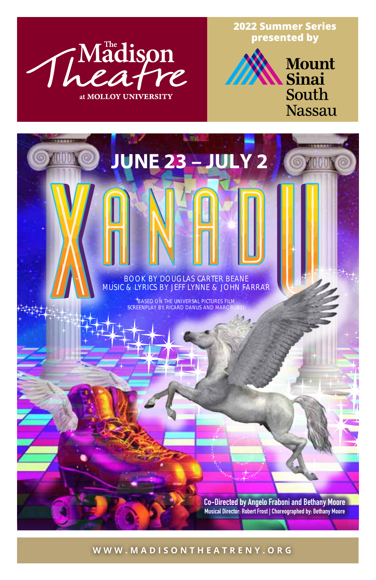

**2022 Summer Series presented by**



# **BOOK BY DOUGLAS CARTER BEANE**

**JUNE 23 – JULY 2**

**MUSIC & LYRICS BY JEFF LYNNE & JOHN FARRAR**

**BASED ON THE UNIVERSAL PICTURES FILM SCREENPLAY BY RICARD DANUS AND MARC** 

> Co-Directed by Angelo Fraboni and Bethany Moore Musical Director: Robert Frost | Choreographed by: Bethany Moore

**WWW.MADISONTHEATRENY.ORG**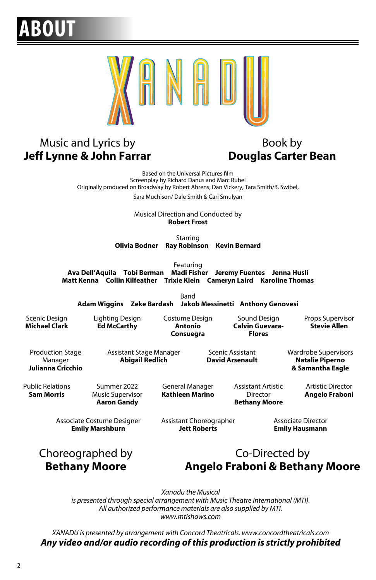#### **ABOUT**



#### Music and Lyrics by **Jeff Lynne & John Farrar**

#### Book by **Douglas Carter Bean**

Based on the Universal Pictures film Screenplay by Richard Danus and Marc Rubel Originally produced on Broadway by Robert Ahrens, Dan Vickery, Tara Smith/B. Swibel,

Sara Muchison/ Dale Smith & Cari Smulyan

Musical Direction and Conducted by **Robert Frost**

Starring **Olivia Bodner Ray Robinson Kevin Bernard**

Featuring

**Ava Dell'Aquila Tobi Berman Madi Fisher Jeremy Fuentes Jenna Husli Matt Kenna Collin Kilfeather Trixie Klein Cameryn Laird Karoline Thomas**

Band

**Adam Wiggins Zeke Bardash Jakob Messinetti Anthony Genovesi**

Scenic Design **Michael Clark** Lighting Design **Ed McCarthy**

Costume Design **Antonio Consuegra**

Sound Design **Calvin Guevara-Flores**

Props Supervisor **Stevie Allen**

Production Stage Manager **Julianna Cricchio** Assistant Stage Manager **Abigail Redlich**

Scenic Assistant **David Arsenault** Wardrobe Supervisors **Natalie Piperno & Samantha Eagle**

Public Relations **Sam Morris**

Summer 2022 Music Supervisor **Aaron Gandy**

General Manager **Kathleen Marino** Assistant Artistic Director **Bethany Moore**

Artistic Director **Angelo Fraboni**

Associate Costume Designer **Emily Marshburn**

Assistant Choreographer **Jett Roberts**

Associate Director **Emily Hausmann**

Choreographed by **Bethany Moore**

#### Co-Directed by **Angelo Fraboni & Bethany Moore**

*Xanadu the Musical is presented through special arrangement with Music Theatre International (MTI). All authorized performance materials are also supplied by MTI. www.mtishows.com*

*XANADU is presented by arrangement with Concord Theatricals. www.concordtheatricals.com Any video and/or audio recording of this production is strictly prohibited*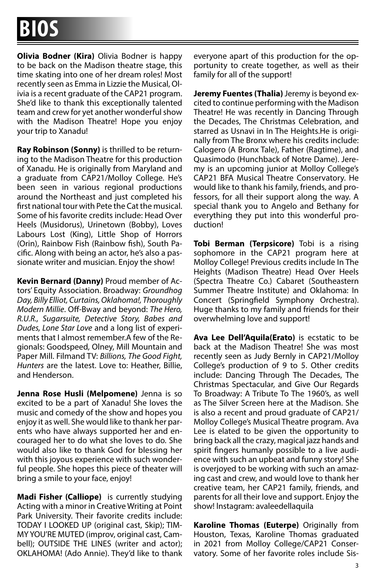**Olivia Bodner (Kira)** Olivia Bodner is happy to be back on the Madison theatre stage, this time skating into one of her dream roles! Most recently seen as Emma in Lizzie the Musical, Olivia is a recent graduate of the CAP21 program. She'd like to thank this exceptionally talented team and crew for yet another wonderful show with the Madison Theatre! Hope you enjoy your trip to Xanadu!

**Ray Robinson (Sonny)** is thrilled to be returning to the Madison Theatre for this production of Xanadu. He is originally from Maryland and a graduate from CAP21/Molloy College. He's been seen in various regional productions around the Northeast and just completed his first national tour with Pete the Cat the musical. Some of his favorite credits include: Head Over Heels (Musidorus), Urinetown (Bobby), Loves Labours Lost (King), Little Shop of Horrors (Orin), Rainbow Fish (Rainbow fish), South Pacific. Along with being an actor, he's also a passionate writer and musician. Enjoy the show!

**Kevin Bernard (Danny)** Proud member of Actors' Equity Association. Broadway: *Groundhog Day, Billy Elliot, Curtains, Oklahoma!, Thoroughly Modern Millie*. Off-Bway and beyond: *The Hero, R.U.R., Sugarsuite, Detective Story, Babes and Dudes, Lone Star Love* and a long list of experiments that I almost remember.A few of the Regionals: Goodspeed, Olney, Mill Mountain and Paper Mill. Filmand TV: *Billions, The Good Fight, Hunters* are the latest. Love to: Heather, Billie, and Henderson.

**Jenna Rose Husli (Melpomene)** Jenna is so excited to be a part of Xanadu! She loves the music and comedy of the show and hopes you enjoy it as well. She would like to thank her parents who have always supported her and encouraged her to do what she loves to do. She would also like to thank God for blessing her with this joyous experience with such wonderful people. She hopes this piece of theater will bring a smile to your face, enjoy!

**Madi Fisher (Calliope)** is currently studying Acting with a minor in Creative Writing at Point Park University. Their favorite credits include: TODAY I LOOKED UP (original cast, Skip); TIM-MY YOU'RE MUTED (improv, original cast, Cambell); OUTSIDE THE LINES (writer and actor); OKLAHOMA! (Ado Annie). They'd like to thank everyone apart of this production for the opportunity to create together, as well as their family for all of the support!

**Jeremy Fuentes (Thalia)** Jeremy is beyond excited to continue performing with the Madison Theatre! He was recently in Dancing Through the Decades, The Christmas Celebration, and starred as Usnavi in In The Heights.He is originally from The Bronx where his credits include: Calogero (A Bronx Tale), Father (Ragtime), and Quasimodo (Hunchback of Notre Dame). Jeremy is an upcoming junior at Molloy College's CAP21 BFA Musical Theatre Conservatory. He would like to thank his family, friends, and professors, for all their support along the way. A special thank you to Angelo and Bethany for everything they put into this wonderful production!

**Tobi Berman (Terpsicore)** Tobi is a rising sophomore in the CAP21 program here at Molloy College! Previous credits include In The Heights (Madison Theatre) Head Over Heels (Spectra Theatre Co.) Cabaret (Southeastern Summer Theatre Institute) and Oklahoma: In Concert (Springfield Symphony Orchestra). Huge thanks to my family and friends for their overwhelming love and support!

**Ava Lee Dell'Aquila(Erato)** is ecstatic to be back at the Madison Theatre! She was most recently seen as Judy Bernly in CAP21/Molloy College's production of 9 to 5. Other credits include: Dancing Through The Decades, The Christmas Spectacular, and Give Our Regards To Broadway: A Tribute To The 1960's, as well as The Silver Screen here at the Madison. She is also a recent and proud graduate of CAP21/ Molloy College's Musical Theatre program. Ava Lee is elated to be given the opportunity to bring back all the crazy, magical jazz hands and spirit fingers humanly possible to a live audience with such an upbeat and funny story! She is overjoyed to be working with such an amazing cast and crew, and would love to thank her creative team, her CAP21 family, friends, and parents for all their love and support. Enjoy the show! lnstagram: avaleedellaquila

**Karoline Thomas (Euterpe)** Originally from Houston, Texas, Karoline Thomas graduated in 2021 from Molloy College/CAP21 Conservatory. Some of her favorite roles include Sis-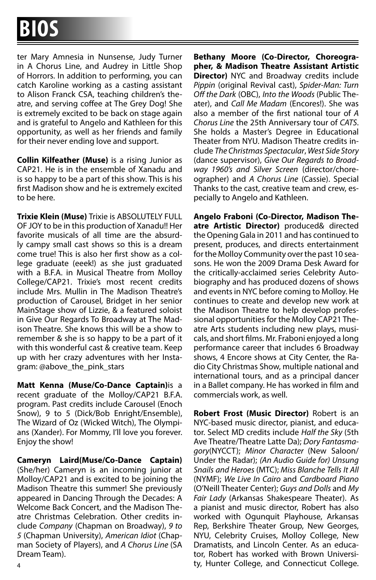ter Mary Amnesia in Nunsense, Judy Turner in A Chorus Line, and Audrey in Little Shop of Horrors. In addition to performing, you can catch Karoline working as a casting assistant to Alison Franck CSA, teaching children's theatre, and serving coffee at The Grey Dog! She is extremely excited to be back on stage again and is grateful to Angelo and Kathleen for this opportunity, as well as her friends and family for their never ending love and support.

**Collin Kilfeather (Muse)** is a rising Junior as CAP21. He is in the ensemble of Xanadu and is so happy to be a part of this show. This is his first Madison show and he is extremely excited to be here.

**Trixie Klein (Muse)** Trixie is ABSOLUTELY FULL OF JOY to be in this production of Xanadu!! Her favorite musicals of all time are the absurdly campy small cast shows so this is a dream come true! This is also her first show as a college graduate (eeek!) as she just graduated with a B.F.A. in Musical Theatre from Molloy College/CAP21. Trixie's most recent credits include Mrs. Mullin in The Madison Theatre's production of Carousel, Bridget in her senior MainStage show of Lizzie, & a featured soloist in Give Our Regards To Broadway at The Madison Theatre. She knows this will be a show to remember & she is so happy to be a part of it with this wonderful cast & creative team. Keep up with her crazy adventures with her Instagram: @above\_the\_pink\_stars

**Matt Kenna (Muse/Co-Dance Captain)**is a recent graduate of the Molloy/CAP21 B.F.A. program. Past credits include Carousel (Enoch Snow), 9 to 5 (Dick/Bob Enright/Ensemble), The Wizard of Oz (Wicked Witch), The Olympians (Xander). For Mommy, I'll love you forever. Enjoy the show!

**Cameryn Laird(Muse/Co-Dance Captain)** (She/her) Cameryn is an incoming junior at Molloy/CAP21 and is excited to be joining the Madison Theatre this summer! She previously appeared in Dancing Through the Decades: A Welcome Back Concert, and the Madison Theatre Christmas Celebration. Other credits include *Company* (Chapman on Broadway), *9 to 5* (Chapman University), *American Idiot* (Chapman Society of Players), and *A Chorus Line* (SA Dream Team).

**Bethany Moore (Co-Director, Choreographer, & Madison Theatre Assistant Artistic Director)** NYC and Broadway credits include *Pippin* (original Revival cast), *Spider-Man: Turn Off the Dark* (OBC), *Into the Woods* (Public Theater), and *Call Me Madam* (Encores!). She was also a member of the first national tour of *A Chorus Line* the 25th Anniversary tour of *CATS*. She holds a Master's Degree in Educational Theater from NYU. Madison Theatre credits include *The Christmas Spectacular*, *West Side Story* (dance supervisor), *Give Our Regards to Broadway 1960's and Silver Screen* (director/choreographer) and *A Chorus Line* (Cassie). Special Thanks to the cast, creative team and crew, especially to Angelo and Kathleen.

**Angelo Fraboni (Co-Director, Madison Theatre Artistic Director)** produced& directed the Opening Gala in 2011 and has continued to present, produces, and directs entertainment for the Molloy Community over the past 10 seasons. He won the 2009 Drama Desk Award for the critically-acclaimed series Celebrity Autobiography and has produced dozens of shows and events in NYC before coming to Molloy. He continues to create and develop new work at the Madison Theatre to help develop professional opportunities for the Molloy CAP21 Theatre Arts students including new plays, musicals, and short films. Mr. Fraboni enjoyed a long performance career that includes 6 Broadway shows, 4 Encore shows at City Center, the Radio City Christmas Show, multiple national and international tours, and as a principal dancer in a Ballet company. He has worked in film and commercials work, as well.

**Robert Frost (Music Director)** Robert is an NYC-based music director, pianist, and educator. Select MD credits include *Half the Sky* (5th Ave Theatre/Theatre Latte Da); *Dory Fantasmagory*(NYCCT); *Minor Character* (New Saloon/ Under the Radar); *(An Audio Guide for) Unsung Snails and Heroes* (MTC); *Miss Blanche Tells It All*  (NYMF); *We Live In Cairo* and *Cardboard Piano*  (O'Neill Theater Center); *Guys and Dolls* and *My Fair Lady* (Arkansas Shakespeare Theater). As a pianist and music director, Robert has also worked with Ogunquit Playhouse, Arkansas Rep, Berkshire Theater Group, New Georges, NYU, Celebrity Cruises, Molloy College, New Dramatists, and Lincoln Center. As an educator, Robert has worked with Brown Universi-<sup>4</sup> ty, Hunter College, and Connecticut College.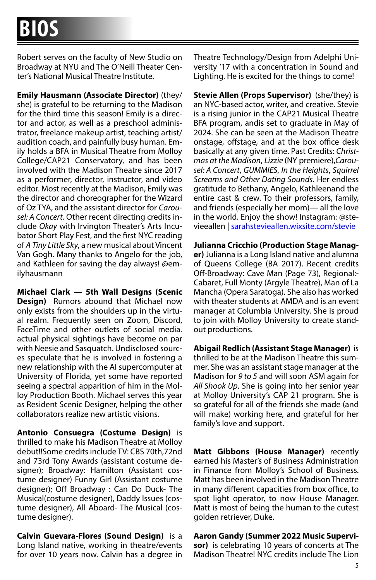Robert serves on the faculty of New Studio on Broadway at NYU and The O'Neill Theater Center's National Musical Theatre Institute.

**Emily Hausmann (Associate Director)** (they/ she) is grateful to be returning to the Madison for the third time this season! Emily is a director and actor, as well as a preschool administrator, freelance makeup artist, teaching artist/ audition coach, and painfully busy human. Emily holds a BFA in Musical Theatre from Molloy College/CAP21 Conservatory, and has been involved with the Madison Theatre since 2017 as a performer, director, instructor, and video editor. Most recently at the Madison, Emily was the director and choreographer for the Wizard of Oz TYA, and the assistant director for *Carousel: A Concert.* Other recent directing credits include *Okay* with Irvington Theater's Arts Incubator Short Play Fest, and the first NYC reading of *A Tiny Little Sky*, a new musical about Vincent Van Gogh. Many thanks to Angelo for the job, and Kathleen for saving the day always! @emilyhausmann

**Michael Clark — 5th Wall Designs (Scenic Design)** Rumors abound that Michael now only exists from the shoulders up in the virtual realm. Frequently seen on Zoom, Discord, FaceTime and other outlets of social media. actual physical sightings have become on par with Neesie and Sasquatch. Undisclosed sources speculate that he is involved in fostering a new relationship with the AI supercomputer at University of Florida, yet some have reported seeing a spectral apparition of him in the Molloy Production Booth. Michael serves this year as Resident Scenic Designer, helping the other collaborators realize new artistic visions.

**Antonio Consuegra (Costume Design)** is thrilled to make his Madison Theatre at Molloy debut!!Some credits include TV: CBS 70th,72nd and 73rd Tony Awards (assistant costume designer); Broadway: Hamilton (Assistant costume designer) Funny Girl (Assistant costume designer); Off Broadway : Can Do Duck- The Musical(costume designer), Daddy Issues (costume designer), All Aboard- The Musical (costume designer).

**Calvin Guevara-Flores (Sound Design)** is a Long Island native, working in theatre/events for over 10 years now. Calvin has a degree in Theatre Technology/Design from Adelphi University '17 with a concentration in Sound and Lighting. He is excited for the things to come!

**Stevie Allen (Props Supervisor)** (she/they) is an NYC-based actor, writer, and creative. Stevie is a rising junior in the CAP21 Musical Theatre BFA program, andis set to graduate in May of 2024. She can be seen at the Madison Theatre onstage, offstage, and at the box office desk basically at any given time. Past Credits: *Christmas at the Madison*, *Lizzie* (NY premiere),*Carousel: A Concert*, *GUMMIES*, *In the Heights*, *Squirrel Screams and Other Dating Sounds*. Her endless gratitude to Bethany, Angelo, Kathleenand the entire cast & crew. To their professors, family, and friends (especially her mom)— all the love in the world. Enjoy the show! Instagram: @stevieeallen | sarahstevieallen.wixsite.com/stevie

**Julianna Cricchio (Production Stage Manager)** Julianna is a Long Island native and alumna of Queens College (BA 2017). Recent credits Off-Broadway: Cave Man (Page 73), Regional:- Cabaret, Full Monty (Argyle Theatre), Man of La Mancha (Opera Saratoga). She also has worked with theater students at AMDA and is an event manager at Columbia University. She is proud to join with Molloy University to create standout productions.

**Abigail Redlich (Assistant Stage Manager)** is thrilled to be at the Madison Theatre this summer. She was an assistant stage manager at the Madison for *9 to 5* and will soon ASM again for *All Shook Up*. She is going into her senior year at Molloy University's CAP 21 program. She is so grateful for all of the friends she made (and will make) working here, and grateful for her family's love and support.

**Matt Gibbons (House Manager)** recently earned his Master's of Business Administration in Finance from Molloy's School of Business. Matt has been involved in the Madison Theatre in many different capacities from box office, to spot light operator, to now House Manager. Matt is most of being the human to the cutest golden retriever, Duke.

#### **Aaron Gandy (Summer 2022 Music Supervi-**

**sor)** is celebrating 10 years of concerts at The Madison Theatre! NYC credits include The Lion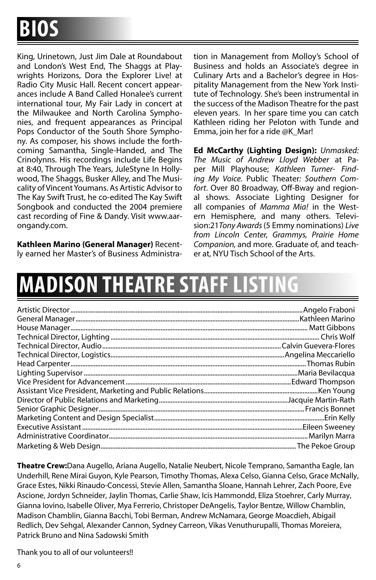King, Urinetown, Just Jim Dale at Roundabout and London's West End, The Shaggs at Playwrights Horizons, Dora the Explorer Live! at Radio City Music Hall. Recent concert appearances include A Band Called Honalee's current international tour, My Fair Lady in concert at the Milwaukee and North Carolina Symphonies, and frequent appearances as Principal Pops Conductor of the South Shore Symphony. As composer, his shows include the forthcoming Samantha, Single-Handed, and The Crinolynns. His recordings include Life Begins at 8:40, Through The Years, JuleStyne In Hollywood, The Shaggs, Busker Alley, and The Musicality of Vincent Youmans. As Artistic Advisor to The Kay Swift Trust, he co-edited The Kay Swift Songbook and conducted the 2004 premiere cast recording of Fine & Dandy. Visit www.aarongandy.com.

**Kathleen Marino (General Manager)** Recently earned her Master's of Business Administration in Management from Molloy's School of Business and holds an Associate's degree in Culinary Arts and a Bachelor's degree in Hospitality Management from the New York Institute of Technology. She's been instrumental in the success of the Madison Theatre for the past eleven years. In her spare time you can catch Kathleen riding her Peloton with Tunde and Emma, join her for a ride @K\_Mar!

**Ed McCarthy (Lighting Design):** *Unmasked: The Music of Andrew Lloyd Webber* at Paper Mill Playhouse; *Kathleen Turner- Finding My Voice.*  Public Theater*: Southern Comfort*. Over 80 Broadway, Off-Bway and regional shows. Associate Lighting Designer for all companies of *Mamma Mia!* in the Western Hemisphere, and many others. Television:21*Tony Awards* (5 Emmy nominations) *Live from Lincoln Center, Grammys, Prairie Home Companion,* and more. Graduate of, and teacher at, NYU Tisch School of the Arts.

## **MADISON THEATRE STAF**

**Theatre Crew:**Dana Augello, Ariana Augello, Natalie Neubert, Nicole Temprano, Samantha Eagle, Ian Underhill, Rene Mirai Guyon, Kyle Pearson, Timothy Thomas, Alexa Celso, Gianna Celso, Grace McNally, Grace Estes, Nikki Rinaudo-Concessi, Stevie Allen, Samantha Sloane, Hannah Lehrer, Zach Poore, Eve Ascione, Jordyn Schneider, Jaylin Thomas, Carlie Shaw, Icis Hammondd, Eliza Stoehrer, Carly Murray, Gianna Iovino, Isabelle Oliver, Mya Ferrerio, Christoper DeAngelis, Taylor Bentze, Willow Chamblin, Madison Chamblin, Gianna Bacchi, Tobi Berman, Andrew McNamara, George Moacdieh, Abigail Redlich, Dev Sehgal, Alexander Cannon, Sydney Carreon, Vikas Venuthurupalli, Thomas Moreiera, Patrick Bruno and Nina Sadowski Smith

Thank you to all of our volunteers!!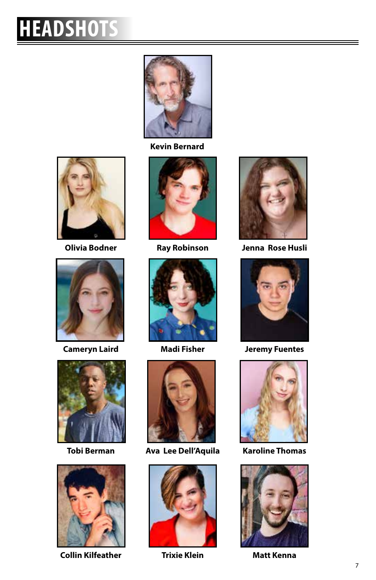## **HEADSHOTS**



**Kevin Bernard**









**Collin Kilfeather Trixie Klein Matt Kenna**







**Tobi Berman Ava Lee Dell'Aquila Karoline Thomas**





**Olivia Bodner Ray Robinson Jenna Rose Husli** 



**Cameryn Laird Madi Fisher Jeremy Fuentes**





 $\equiv$